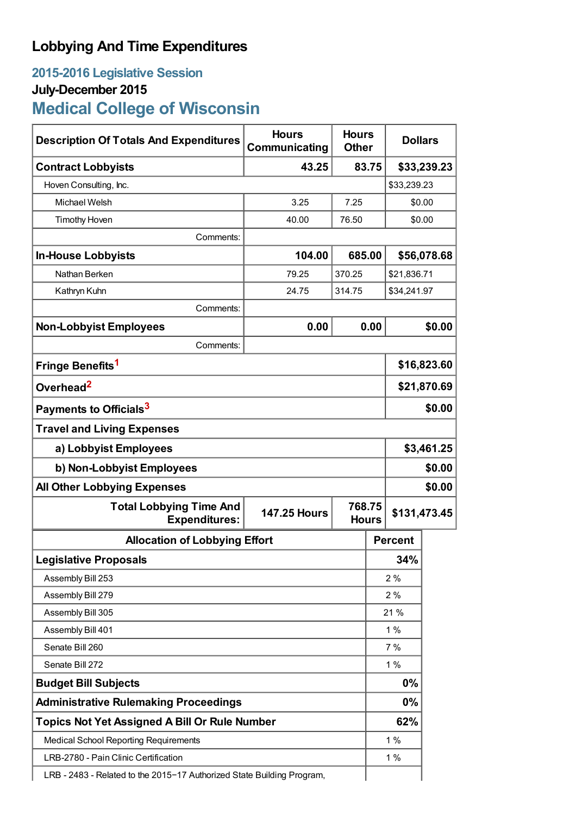## **Lobbying And Time Expenditures**

## **2015-2016 Legislative Session July-December 2015 Medical College of Wisconsin**

| <b>Hours</b><br>Communicating                                                        | <b>Hours</b><br><b>Other</b>                                                                                                                   |       | <b>Dollars</b> |                                                           |  |
|--------------------------------------------------------------------------------------|------------------------------------------------------------------------------------------------------------------------------------------------|-------|----------------|-----------------------------------------------------------|--|
|                                                                                      | 83.75                                                                                                                                          |       | \$33,239.23    |                                                           |  |
|                                                                                      |                                                                                                                                                |       | \$33,239.23    |                                                           |  |
| 3.25                                                                                 | 7.25                                                                                                                                           |       | \$0.00         |                                                           |  |
| 40.00                                                                                | 76.50                                                                                                                                          |       | \$0.00         |                                                           |  |
|                                                                                      |                                                                                                                                                |       |                |                                                           |  |
| 104.00                                                                               | 685.00                                                                                                                                         |       | \$56,078.68    |                                                           |  |
| 79.25                                                                                | 370.25                                                                                                                                         |       | \$21,836.71    |                                                           |  |
| 24.75                                                                                | 314.75                                                                                                                                         |       | \$34,241.97    |                                                           |  |
|                                                                                      |                                                                                                                                                |       |                |                                                           |  |
| 0.00                                                                                 | 0.00                                                                                                                                           |       | \$0.00         |                                                           |  |
|                                                                                      |                                                                                                                                                |       |                |                                                           |  |
| Fringe Benefits <sup>1</sup>                                                         |                                                                                                                                                |       | \$16,823.60    |                                                           |  |
| Overhead <sup>2</sup>                                                                |                                                                                                                                                |       | \$21,870.69    |                                                           |  |
| Payments to Officials <sup>3</sup>                                                   |                                                                                                                                                |       | \$0.00         |                                                           |  |
|                                                                                      |                                                                                                                                                |       |                |                                                           |  |
| a) Lobbyist Employees                                                                |                                                                                                                                                |       |                | \$3,461.25                                                |  |
| b) Non-Lobbyist Employees                                                            |                                                                                                                                                |       |                | \$0.00                                                    |  |
| <b>All Other Lobbying Expenses</b>                                                   |                                                                                                                                                |       |                | \$0.00                                                    |  |
| <b>147.25 Hours</b>                                                                  | 768.75<br><b>Hours</b>                                                                                                                         |       | \$131,473.45   |                                                           |  |
| <b>Allocation of Lobbying Effort</b>                                                 |                                                                                                                                                |       |                |                                                           |  |
| <b>Legislative Proposals</b>                                                         |                                                                                                                                                |       | 34%            |                                                           |  |
| Assembly Bill 253                                                                    |                                                                                                                                                |       |                | 2%                                                        |  |
| Assembly Bill 279                                                                    |                                                                                                                                                |       |                | 2%                                                        |  |
| Assembly Bill 305                                                                    |                                                                                                                                                |       | 21 %           |                                                           |  |
| Assembly Bill 401                                                                    |                                                                                                                                                |       | $1\%$          |                                                           |  |
| Senate Bill 260                                                                      |                                                                                                                                                |       | 7%             |                                                           |  |
| Senate Bill 272                                                                      |                                                                                                                                                |       |                |                                                           |  |
| <b>Budget Bill Subjects</b>                                                          |                                                                                                                                                |       |                |                                                           |  |
| <b>Administrative Rulemaking Proceedings</b>                                         |                                                                                                                                                |       |                |                                                           |  |
| <b>Topics Not Yet Assigned A Bill Or Rule Number</b>                                 |                                                                                                                                                |       |                |                                                           |  |
| <b>Medical School Reporting Requirements</b><br>LRB-2780 - Pain Clinic Certification |                                                                                                                                                |       |                |                                                           |  |
| LRB - 2483 - Related to the 2015-17 Authorized State Building Program,               |                                                                                                                                                |       |                |                                                           |  |
|                                                                                      | <b>Description Of Totals And Expenditures</b><br>Comments:<br>Comments:<br>Comments:<br><b>Total Lobbying Time And</b><br><b>Expenditures:</b> | 43.25 |                | <b>Percent</b><br>$1\%$<br>0%<br>$0\%$<br>62%<br>1%<br>1% |  |